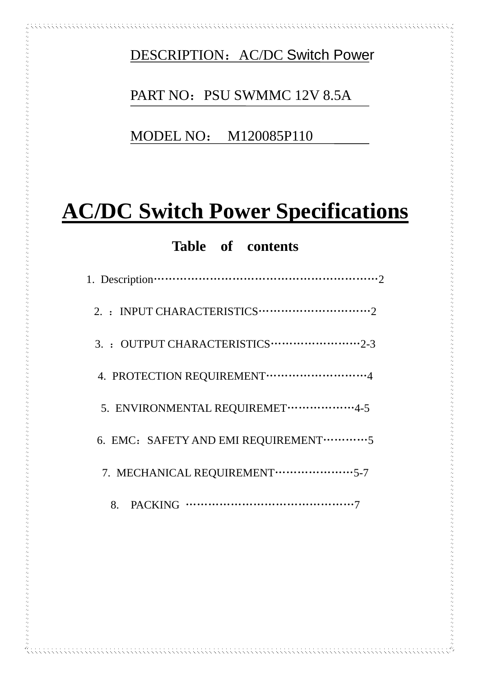DESCRIPTION: AC/DC Switch Power

# PART NO: PSU SWMMC 12V 8.5A

MODEL NO: M120085P110

# **AC/DC Switch Power Specifications**

## **Table of contents**

| 3. : OUTPUT CHARACTERISTICS ·························2-3 |
|----------------------------------------------------------|
|                                                          |
| 5. ENVIRONMENTAL REQUIREMET ···················4-5       |
| 6. EMC: SAFETY AND EMI REQUIREMENT ············· 5       |
| 7. MECHANICAL REQUIREMENT ······················5-7      |
|                                                          |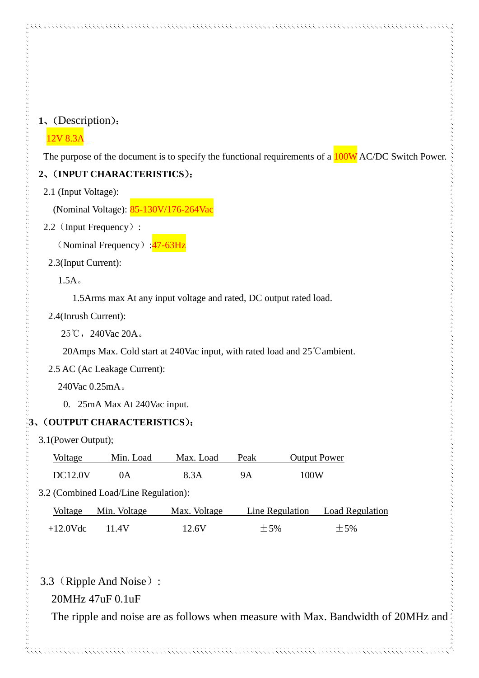#### **1**、(Description):

#### 12V 8.3A

The purpose of the document is to specify the functional requirements of a  $100W$  AC/DC Switch Power.

#### **2**、(**INPUT CHARACTERISTICS**):

2.1 (Input Voltage):

(Nominal Voltage): 85-130V/176-264Vac

#### 2.2 (Input Frequency):

(Nominal Frequency):  $\frac{47-63\text{Hz}}{47}$ 

#### 2.3(Input Current):

1.5A。

1.5Arms max At any input voltage and rated, DC output rated load.

#### 2.4(Inrush Current):

25℃, 240Vac 20A。

20Amps Max. Cold start at 240Vac input, with rated load and 25℃ambient.

2.5 AC (Ac Leakage Current):

240Vac 0.25mA。

0. 25mA Max At 240Vac input.

#### **3**、(**OUTPUT CHARACTERISTICS**):

3.1(Power Output);

| Voltage        | Min. Load | Max. Load | Peak | <b>Output Power</b> |
|----------------|-----------|-----------|------|---------------------|
| <b>DC12.0V</b> |           | 8.3A      | 9А   | 100W                |

3.2 (Combined Load/Line Regulation):

|             | Voltage Min. Voltage | Max. Voltage |       | Line Regulation Load Regulation |
|-------------|----------------------|--------------|-------|---------------------------------|
| $+12.0$ Vdc | 11 4V                | 12.6V        | $+5%$ | $+5%$                           |

## 3.3(Ripple And Noise):

## 20MHz 47uF 0.1uF

The ripple and noise are as follows when measure with Max. Bandwidth of 20MHz and

. . . . . . . . . . . . . . . . . . .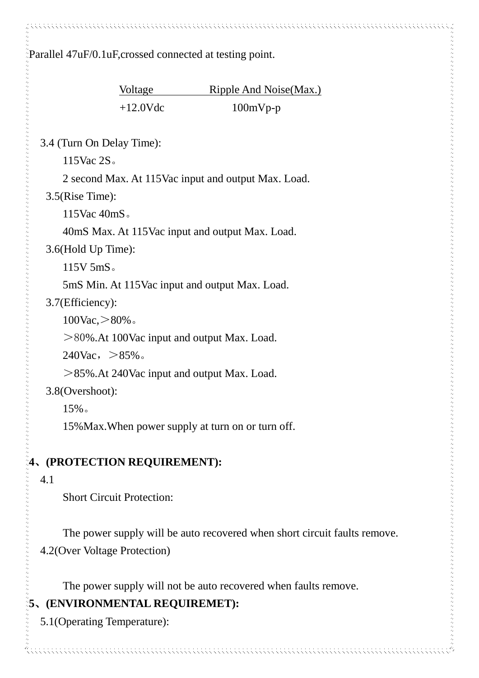Parallel 47uF/0.1uF,crossed connected at testing point.

Voltage Ripple And Noise(Max.)  $+12.0Vdc$  100mVp-p

3.4 (Turn On Delay Time):

115Vac 2S。

2 second Max. At 115Vac input and output Max. Load.

3.5(Rise Time):

115Vac 40mS。

40mS Max. At 115Vac input and output Max. Load.

3.6(Hold Up Time):

115V 5mS。

5mS Min. At 115Vac input and output Max. Load.

3.7(Efficiency):

100Vac,>80%。

>80%.At 100Vac input and output Max. Load.

 $240\text{Vac}, > 85\%$ .

>85%.At 240Vac input and output Max. Load.

3.8(Overshoot):

15%。

15%Max.When power supply at turn on or turn off.

## **4**、**(PROTECTION REQUIREMENT):**

4.1

Short Circuit Protection:

The power supply will be auto recovered when short circuit faults remove. 4.2(Over Voltage Protection)

The power supply will not be auto recovered when faults remove.

## **5**、**(ENVIRONMENTAL REQUIREMET):**

5.1(Operating Temperature):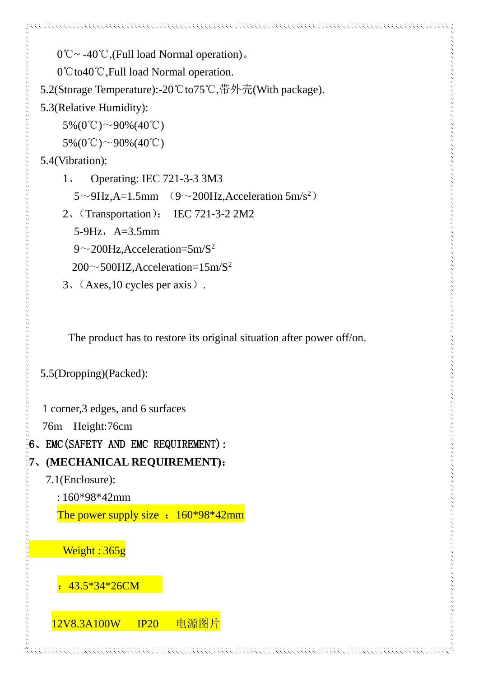```
 0℃~ -40℃,(Full load Normal operation)。
```
0℃to40℃,Full load Normal operation.

5.2(Storage Temperature):-20℃to75℃,带外壳(With package).

```
5.3(Relative Humidity):
```

```
5\% (0^{\circ}\text{C}) \sim 90\% (40^{\circ}\text{C})
```
 $5\% (0^{\circ}\text{C}) \sim 90\% (40^{\circ}\text{C})$ 

5.4(Vibration):

- 1、 Operating: IEC 721-3-3 3M3  $5 \sim 9$ Hz, A=1.5mm (9~200Hz, Acceleration 5m/s<sup>2</sup>)
- 2、(Transportation): IEC 721-3-2 2M2
	- 5-9Hz,  $A=3.5$ mm
	- $9 \sim$ 200Hz, Acceleration=5m/S<sup>2</sup>

 $200 \sim 500$ HZ, Acceleration= $15$ m/S<sup>2</sup>

3、(Axes,10 cycles per axis).

The product has to restore its original situation after power off/on.

5.5(Dropping)(Packed):

1 corner,3 edges, and 6 surfaces

76m Height:76cm

6、EMC(SAFETY AND EMC REQUIREMENT):

# **7**、**(MECHANICAL REQUIREMENT)**:

7.1(Enclosure):

: 160\*98\*42mm

The power supply size :  $160*98*42$ mm



:43.5\*34\*26CM

12V8.3A100W IP20 电源图片